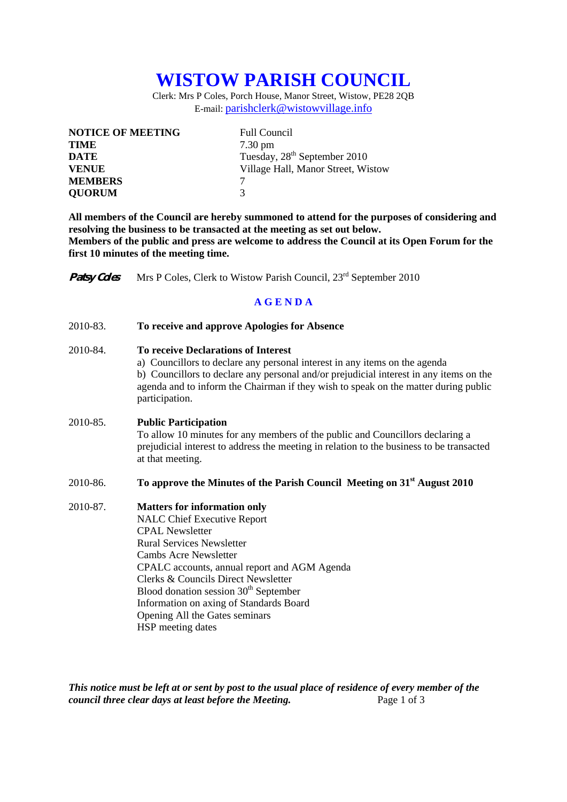## **WISTOW PARISH COUNCIL**

Clerk: Mrs P Coles, Porch House, Manor Street, Wistow, PE28 2QB E-mail: parishclerk@wistowvillage.info

| <b>NOTICE OF MEETING</b> | <b>Full Council</b>                      |
|--------------------------|------------------------------------------|
| <b>TIME</b>              | $7.30 \text{ pm}$                        |
| <b>DATE</b>              | Tuesday, 28 <sup>th</sup> September 2010 |
| <b>VENUE</b>             | Village Hall, Manor Street, Wistow       |
| <b>MEMBERS</b>           |                                          |
| <b>OUORUM</b>            | 3                                        |

**All members of the Council are hereby summoned to attend for the purposes of considering and resolving the business to be transacted at the meeting as set out below. Members of the public and press are welcome to address the Council at its Open Forum for the first 10 minutes of the meeting time.** 

**Patsy Coles** Mrs P Coles, Clerk to Wistow Parish Council, 23<sup>rd</sup> September 2010

## **A G E N D A**

| 2010-83. | To receive and approve Apologies for Absence                                                                                                                                                                                                                                                                                                                                                                          |
|----------|-----------------------------------------------------------------------------------------------------------------------------------------------------------------------------------------------------------------------------------------------------------------------------------------------------------------------------------------------------------------------------------------------------------------------|
| 2010-84. | <b>To receive Declarations of Interest</b><br>a) Councillors to declare any personal interest in any items on the agenda<br>b) Councillors to declare any personal and/or prejudicial interest in any items on the<br>agenda and to inform the Chairman if they wish to speak on the matter during public<br>participation.                                                                                           |
| 2010-85. | <b>Public Participation</b><br>To allow 10 minutes for any members of the public and Councillors declaring a<br>prejudicial interest to address the meeting in relation to the business to be transacted<br>at that meeting.                                                                                                                                                                                          |
| 2010-86. | To approve the Minutes of the Parish Council Meeting on 31 <sup>st</sup> August 2010                                                                                                                                                                                                                                                                                                                                  |
| 2010-87. | <b>Matters for information only</b><br><b>NALC Chief Executive Report</b><br><b>CPAL Newsletter</b><br><b>Rural Services Newsletter</b><br><b>Cambs Acre Newsletter</b><br>CPALC accounts, annual report and AGM Agenda<br>Clerks & Councils Direct Newsletter<br>Blood donation session 30 <sup>th</sup> September<br>Information on axing of Standards Board<br>Opening All the Gates seminars<br>HSP meeting dates |

*This notice must be left at or sent by post to the usual place of residence of every member of the council three clear days at least before the Meeting.* Page 1 of 3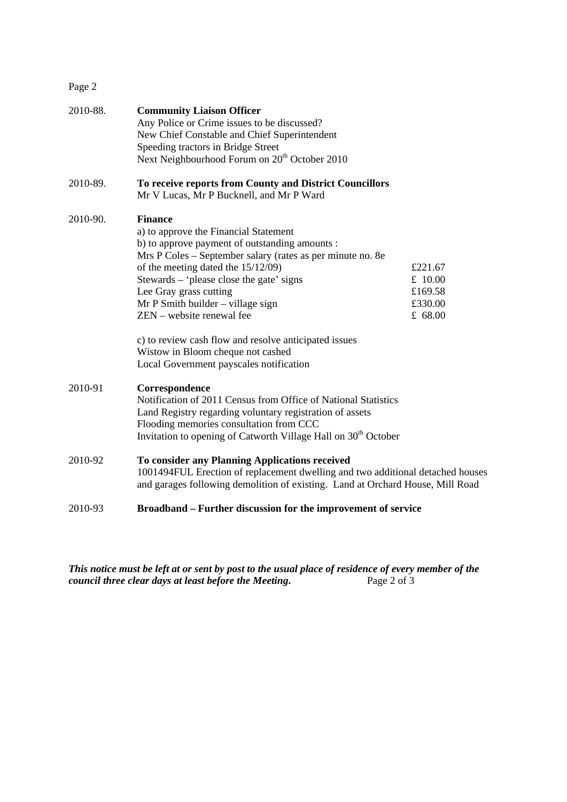## Page 2

| 2010-88. | <b>Community Liaison Officer</b><br>Any Police or Crime issues to be discussed?                     |         |  |
|----------|-----------------------------------------------------------------------------------------------------|---------|--|
|          | New Chief Constable and Chief Superintendent                                                        |         |  |
|          | Speeding tractors in Bridge Street                                                                  |         |  |
|          | Next Neighbourhood Forum on 20 <sup>th</sup> October 2010                                           |         |  |
| 2010-89. | To receive reports from County and District Councillors<br>Mr V Lucas, Mr P Bucknell, and Mr P Ward |         |  |
| 2010-90. | <b>Finance</b>                                                                                      |         |  |
|          | a) to approve the Financial Statement                                                               |         |  |
|          | b) to approve payment of outstanding amounts :                                                      |         |  |
|          | Mrs P Coles - September salary (rates as per minute no. 8e                                          |         |  |
|          | of the meeting dated the 15/12/09)                                                                  | £221.67 |  |
|          | Stewards – 'please close the gate' signs                                                            | £ 10.00 |  |
|          | Lee Gray grass cutting                                                                              | £169.58 |  |
|          | $Mr P S$ mith builder – village sign                                                                | £330.00 |  |
|          | ZEN – website renewal fee                                                                           | £ 68.00 |  |
|          | c) to review cash flow and resolve anticipated issues                                               |         |  |
|          | Wistow in Bloom cheque not cashed                                                                   |         |  |
|          | Local Government payscales notification                                                             |         |  |
| 2010-91  | Correspondence                                                                                      |         |  |
|          | Notification of 2011 Census from Office of National Statistics                                      |         |  |
|          | Land Registry regarding voluntary registration of assets                                            |         |  |
|          | Flooding memories consultation from CCC                                                             |         |  |
|          | Invitation to opening of Catworth Village Hall on 30 <sup>th</sup> October                          |         |  |
| 2010-92  | To consider any Planning Applications received                                                      |         |  |
|          | 1001494FUL Erection of replacement dwelling and two additional detached houses                      |         |  |
|          | and garages following demolition of existing. Land at Orchard House, Mill Road                      |         |  |
| 2010-93  | Broadband – Further discussion for the improvement of service                                       |         |  |

*This notice must be left at or sent by post to the usual place of residence of every member of the council three clear days at least before the Meeting.* Page 2 of 3